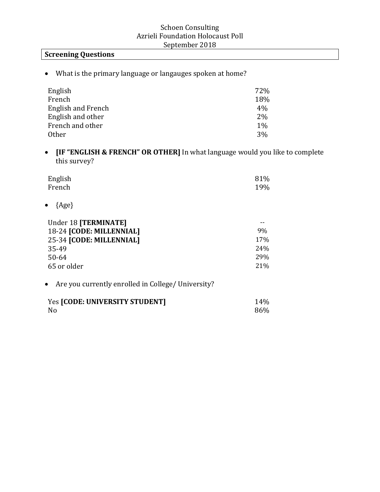### **Screening Questions**

• What is the primary language or langauges spoken at home?

| English            | 72%   |
|--------------------|-------|
| French             | 18%   |
| English and French | $4\%$ |
| English and other  | $2\%$ |
| French and other   | $1\%$ |
| <b>Other</b>       | $3\%$ |

• **IF "ENGLISH & FRENCH" OR OTHER]** In what language would you like to complete this survey?

| English | 81% |
|---------|-----|
| French  | 19% |

• {Age}

| Under 18 [TERMINATE]     |                 |
|--------------------------|-----------------|
| 18-24 [CODE: MILLENNIAL] | 9%              |
| 25-34 [CODE: MILLENNIAL] | 17 <sub>%</sub> |
| 35-49                    | 24%             |
| $50 - 64$                | 29%             |
| 65 or older              | 21%             |

### • Are you currently enrolled in College/ University?

| Yes [CODE: UNIVERSITY STUDENT] | 14% |
|--------------------------------|-----|
| N0                             | 86% |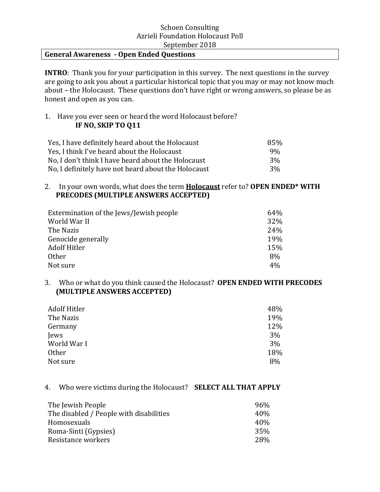#### **General Awareness - Open Ended Questions**

**INTRO:** Thank you for your participation in this survey. The next questions in the survey are going to ask you about a particular historical topic that you may or may not know much about – the Holocaust. These questions don't have right or wrong answers, so please be as honest and open as you can.

#### 1. Have you ever seen or heard the word Holocaust before? **IF NO, SKIP TO Q11**

| Yes, I have definitely heard about the Holocaust    | 85%   |
|-----------------------------------------------------|-------|
| Yes, I think I've heard about the Holocaust         | $9\%$ |
| No, I don't think I have heard about the Holocaust  | 3%    |
| No, I definitely have not heard about the Holocaust | 3%    |

#### 2. In your own words, what does the term **Holocaust** refer to? **OPEN ENDED\* WITH PRECODES (MULTIPLE ANSWERS ACCEPTED)**

| Extermination of the Jews/Jewish people | 64% |
|-----------------------------------------|-----|
| World War II                            | 32% |
| The Nazis                               | 24% |
| Genocide generally                      | 19% |
| <b>Adolf Hitler</b>                     | 15% |
| Other                                   | 8%  |
| Not sure                                | 4%  |

#### 3. Who or what do you think caused the Holocaust? OPEN ENDED WITH PRECODES **(MULTIPLE ANSWERS ACCEPTED)**

| Adolf Hitler | 48% |
|--------------|-----|
| The Nazis    | 19% |
| Germany      | 12% |
| Jews         | 3%  |
| World War I  | 3%  |
| Other        | 18% |
| Not sure     | 8%  |

#### 4. Who were victims during the Holocaust? **SELECT ALL THAT APPLY**

| The Jewish People<br>96%                        |  |
|-------------------------------------------------|--|
| The disabled / People with disabilities<br>40\% |  |
| 40%<br>Homosexuals                              |  |
| 35%<br>Roma-Sinti (Gypsies)                     |  |
| Resistance workers<br>28%                       |  |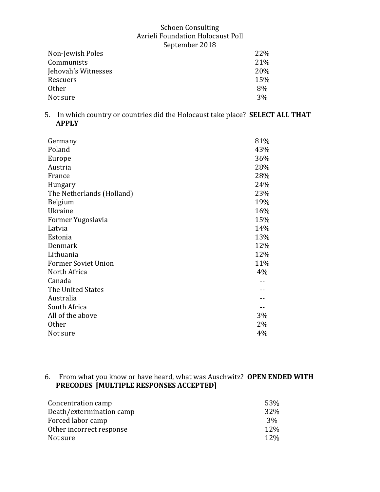| 22% |
|-----|
| 21% |
| 20% |
| 15% |
| 8%  |
| 3%  |
|     |

5. In which country or countries did the Holocaust take place? **SELECT ALL THAT APPLY** 

| Germany                    | 81% |
|----------------------------|-----|
| Poland                     | 43% |
| Europe                     | 36% |
| Austria                    | 28% |
| France                     | 28% |
| Hungary                    | 24% |
| The Netherlands (Holland)  | 23% |
| Belgium                    | 19% |
| Ukraine                    | 16% |
| Former Yugoslavia          | 15% |
| Latvia                     | 14% |
| Estonia                    | 13% |
| Denmark                    | 12% |
| Lithuania                  | 12% |
| <b>Former Soviet Union</b> | 11% |
| North Africa               | 4%  |
| Canada                     |     |
| The United States          |     |
| Australia                  |     |
| South Africa               |     |
| All of the above           | 3%  |
| <b>Other</b>               | 2%  |
| Not sure                   | 4%  |

### 6. From what you know or have heard, what was Auschwitz? OPEN ENDED WITH **PRECODES** [MULTIPLE RESPONSES ACCEPTED]

| Concentration camp       | 53%   |
|--------------------------|-------|
| Death/extermination camp | 32%   |
| Forced labor camp        | $3\%$ |
| Other incorrect response | 12%   |
| Not sure                 | 12%   |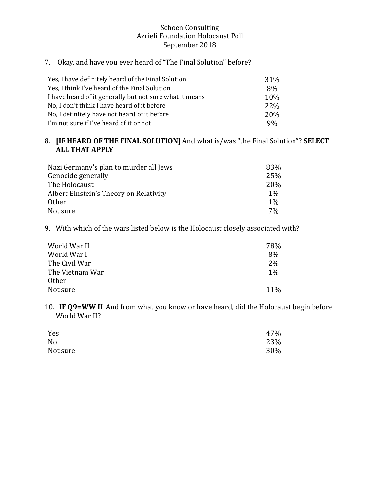## 7. Okay, and have you ever heard of "The Final Solution" before?

| Yes, I have definitely heard of the Final Solution      | 31%            |
|---------------------------------------------------------|----------------|
| Yes, I think I've heard of the Final Solution           | 8%             |
| I have heard of it generally but not sure what it means | 10%            |
| No, I don't think I have heard of it before             | 22%            |
| No, I definitely have not heard of it before            | <b>20%</b>     |
| I'm not sure if I've heard of it or not                 | 9 <sub>%</sub> |

### 8. **[IF HEARD OF THE FINAL SOLUTION]** And what is/was "the Final Solution"? **SELECT ALL THAT APPLY**

| Nazi Germany's plan to murder all Jews | 83%   |
|----------------------------------------|-------|
| Genocide generally                     | 25%   |
| The Holocaust                          | 20%   |
| Albert Einstein's Theory on Relativity | $1\%$ |
| <b>Other</b>                           | $1\%$ |
| Not sure                               | $7\%$ |

9. With which of the wars listed below is the Holocaust closely associated with?

| 78%   |
|-------|
| 8%    |
| 2%    |
| $1\%$ |
|       |
| 11%   |
|       |

10. **IF Q9=WW II** And from what you know or have heard, did the Holocaust begin before World War II?

| Yes            | 47% |
|----------------|-----|
| N <sub>o</sub> | 23% |
| Not sure       | 30% |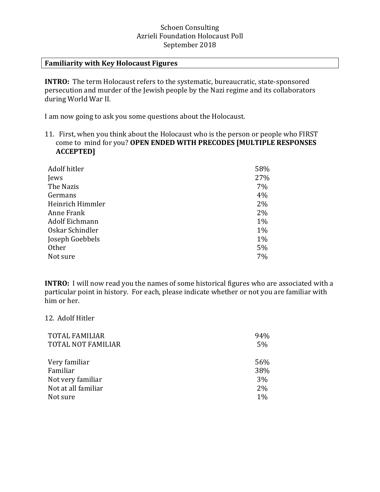#### **Familiarity with Key Holocaust Figures**

**INTRO:** The term Holocaust refers to the systematic, bureaucratic, state-sponsored persecution and murder of the Jewish people by the Nazi regime and its collaborators during World War II.

I am now going to ask you some questions about the Holocaust.

11. First, when you think about the Holocaust who is the person or people who FIRST come to mind for you? OPEN ENDED WITH PRECODES [MULTIPLE RESPONSES **ACCEPTED]** 

| Adolf hitler     | 58% |
|------------------|-----|
| Jews             | 27% |
| The Nazis        | 7%  |
| Germans          | 4%  |
| Heinrich Himmler | 2%  |
| Anne Frank       | 2%  |
| Adolf Eichmann   | 1%  |
| Oskar Schindler  | 1%  |
| Joseph Goebbels  | 1%  |
| Other            | 5%  |
| Not sure         | 7%  |

**INTRO:** I will now read you the names of some historical figures who are associated with a particular point in history. For each, please indicate whether or not you are familiar with him or her.

#### 12. Adolf Hitler

| <b>TOTAL FAMILIAR</b>     | 94% |
|---------------------------|-----|
| <b>TOTAL NOT FAMILIAR</b> | 5%  |
| Very familiar             | 56% |
| Familiar                  | 38% |
| Not very familiar         | 3%  |
| Not at all familiar       | 2%  |
| Not sure                  | 1%  |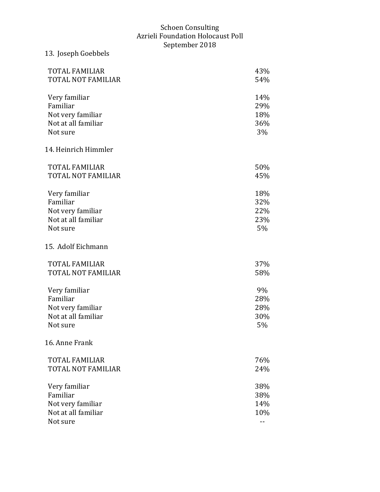13. Joseph Goebbels

# TOTAL FAMILIAR 43% TOTAL NOT FAMILIAR 54% Very familiar 14% Familiar 29% Not very familiar and 18% Not at all familiar 36% Not sure 3% 14. Heinrich Himmler TOTAL FAMILIAR 50% TOTAL NOT FAMILIAR 45% Very familiar 18% Familiar 32% Not very familiar 22% Not at all familiar 23% Not sure  $5\%$ 15. Adolf Eichmann TOTAL FAMILIAR 37% TOTAL NOT FAMILIAR 58% Very familiar 9% Familiar 28% Not very familiar 28% Not at all familiar 30% Not sure 5% 16. Anne Frank TOTAL FAMILIAR 76% TOTAL NOT FAMILIAR 24% Very familiar 38% Familiar 38% Not very familiar and 14% Not at all familiar 10% Not sure that the set of the set of the set of the set of the set of the set of the set of the set of the set of the set of the set of the set of the set of the set of the set of the set of the set of the set of the set of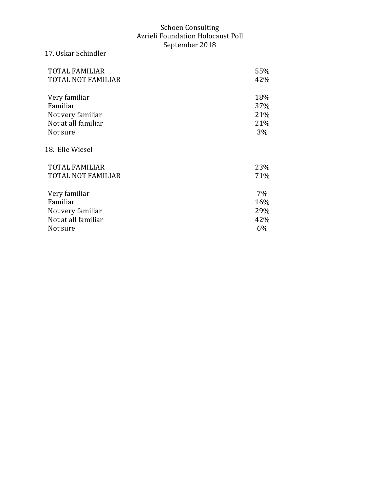# TOTAL FAMILIAR 55%<br>TOTAL NOT FAMILIAR 42% TOTAL NOT FAMILIAR Very familiar 18% and 18% and 18% and 18% and 18% and 18% and 18% and 18% and 18% and 18% and 18% and 18% and 1 Familiar Not very familiar 21% Not at all familiar 21% Not sure 3% 18. Elie Wiesel TOTAL FAMILIAR 23% TOTAL NOT FAMILIAR 71% Very familiar 7% Familiar 16% Not very familiar and 29% and 29% and 29% and 29% and 29% and 29% and 29% and 29% and 29% and 29% and 29% and 2 Not at all familiar Not sure 6%

17. Oskar Schindler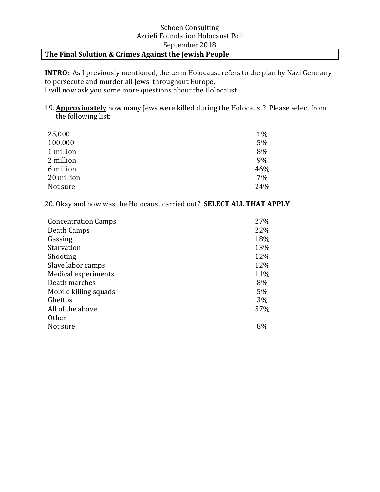#### The Final Solution & Crimes Against the Jewish People

**INTRO:** As I previously mentioned, the term Holocaust refers to the plan by Nazi Germany to persecute and murder all Jews throughout Europe. I will now ask you some more questions about the Holocaust.

19. **Approximately** how many Jews were killed during the Holocaust? Please select from the following list:

| 25,000     | 1%  |
|------------|-----|
| 100,000    | 5%  |
| 1 million  | 8%  |
| 2 million  | 9%  |
| 6 million  | 46% |
| 20 million | 7%  |
| Not sure   | 24% |

20. Okay and how was the Holocaust carried out? **SELECT ALL THAT APPLY** 

| <b>Concentration Camps</b> | 27% |
|----------------------------|-----|
| Death Camps                | 22% |
| Gassing                    | 18% |
| Starvation                 | 13% |
| Shooting                   | 12% |
| Slave labor camps          | 12% |
| Medical experiments        | 11% |
| Death marches              | 8%  |
| Mobile killing squads      | 5%  |
| Ghettos                    | 3%  |
| All of the above           | 57% |
| <b>Other</b>               |     |
| Not sure                   | 8%  |
|                            |     |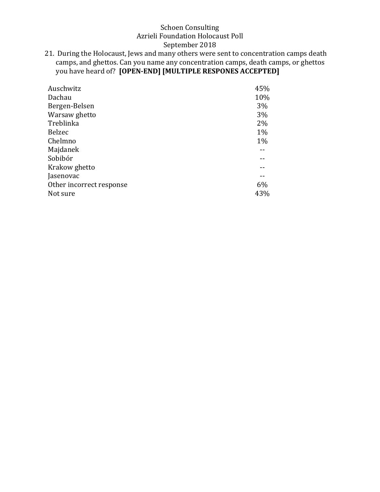21. During the Holocaust, Jews and many others were sent to concentration camps death camps, and ghettos. Can you name any concentration camps, death camps, or ghettos you have heard of? **[OPEN-END]** [MULTIPLE RESPONES ACCEPTED]

| Auschwitz                | 45% |
|--------------------------|-----|
| Dachau                   | 10% |
| Bergen-Belsen            | 3%  |
| Warsaw ghetto            | 3%  |
| Treblinka                | 2%  |
| <b>Belzec</b>            | 1%  |
| Chelmno                  | 1%  |
| Majdanek                 |     |
| Sobibór                  |     |
| Krakow ghetto            |     |
| Jasenovac                |     |
| Other incorrect response | 6%  |
| Not sure                 | 43% |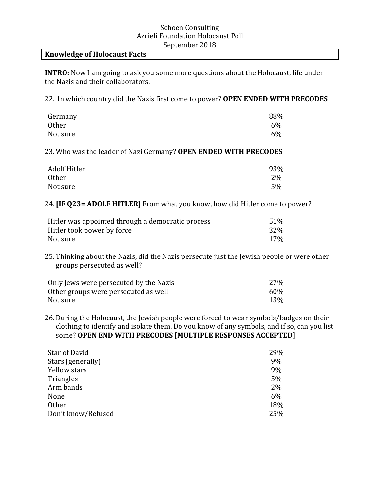#### **Knowledge of Holocaust Facts**

**INTRO:** Now I am going to ask you some more questions about the Holocaust, life under the Nazis and their collaborators.

22. In which country did the Nazis first come to power? OPEN ENDED WITH PRECODES

| Germany  | 88% |
|----------|-----|
| Other    | 6%  |
| Not sure | 6%  |

23. Who was the leader of Nazi Germany? OPEN ENDED WITH PRECODES

| Adolf Hitler | 93% |
|--------------|-----|
| <b>Other</b> | 2%  |
| Not sure     | 5%  |

24. **[IF Q23= ADOLF HITLER]** From what you know, how did Hitler come to power?

| Hitler was appointed through a democratic process | 51% |
|---------------------------------------------------|-----|
| Hitler took power by force                        | 32% |
| Not sure                                          | 17% |

25. Thinking about the Nazis, did the Nazis persecute just the Jewish people or were other groups persecuted as well?

| Only Jews were persecuted by the Nazis | 27% |
|----------------------------------------|-----|
| Other groups were persecuted as well   | 60% |
| Not sure                               | 13% |

26. During the Holocaust, the Jewish people were forced to wear symbols/badges on their clothing to identify and isolate them. Do you know of any symbols, and if so, can you list some? OPEN END WITH PRECODES [MULTIPLE RESPONSES ACCEPTED]

| Star of David      | 29% |
|--------------------|-----|
| Stars (generally)  | 9%  |
| Yellow stars       | 9%  |
| Triangles          | 5%  |
| Arm bands          | 2%  |
| None               | 6%  |
| <b>Other</b>       | 18% |
| Don't know/Refused | 25% |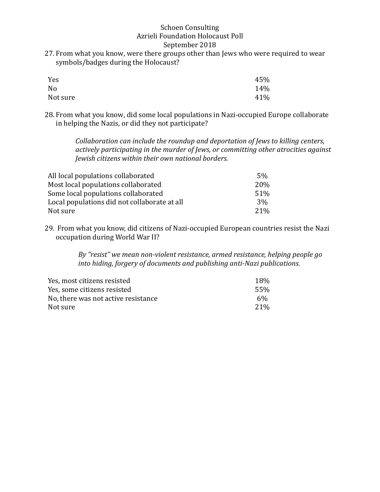27. From what you know, were there groups other than Jews who were required to wear symbols/badges during the Holocaust?

| Yes      | 45% |
|----------|-----|
| No       | 14% |
| Not sure | 41% |

28. From what you know, did some local populations in Nazi-occupied Europe collaborate in helping the Nazis, or did they not participate?

> *Collaboration can include the roundup and deportation of Jews to killing centers,* actively participating in the murder of Jews, or committing other atrocities against *Jewish citizens within their own national borders.*

| All local populations collaborated           | .5%        |
|----------------------------------------------|------------|
| Most local populations collaborated          | <b>20%</b> |
| Some local populations collaborated          | 51%        |
| Local populations did not collaborate at all | $3\%$      |
| Not sure                                     | 21%        |

29. From what you know, did citizens of Nazi-occupied European countries resist the Nazi occupation during World War II?

> By "resist" we mean non-violent resistance, armed resistance, helping people go *into hiding, forgery of documents and publishing anti-Nazi publications.*

| Yes, most citizens resisted         | 18%             |
|-------------------------------------|-----------------|
| Yes, some citizens resisted         | 55%             |
| No, there was not active resistance | $6\%$           |
| Not sure.                           | 21 <sup>%</sup> |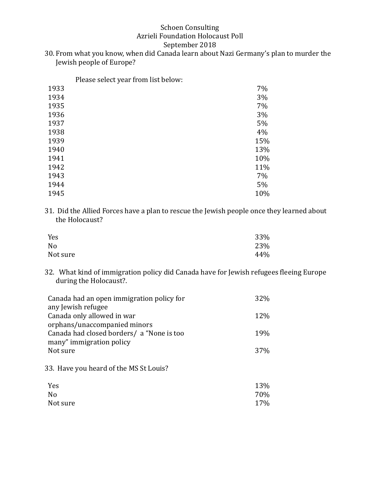#### September 2018

30. From what you know, when did Canada learn about Nazi Germany's plan to murder the Jewish people of Europe?

Please select year from list below:

| 1933 | 7%  |
|------|-----|
| 1934 | 3%  |
| 1935 | 7%  |
| 1936 | 3%  |
| 1937 | 5%  |
| 1938 | 4%  |
| 1939 | 15% |
| 1940 | 13% |
| 1941 | 10% |
| 1942 | 11% |
| 1943 | 7%  |
| 1944 | 5%  |
| 1945 | 10% |

31. Did the Allied Forces have a plan to rescue the Jewish people once they learned about the Holocaust?

| Yes            | 33% |
|----------------|-----|
| N <sub>0</sub> | 23% |
| Not sure       | 44% |

32. What kind of immigration policy did Canada have for Jewish refugees fleeing Europe during the Holocaust?.

| Canada had an open immigration policy for  | 32%             |
|--------------------------------------------|-----------------|
| any Jewish refugee                         |                 |
| Canada only allowed in war                 | 12%             |
| orphans/unaccompanied minors               |                 |
| Canada had closed borders/ a "None is too" | 19%             |
| many" immigration policy                   |                 |
| Not sure                                   | 37 <sub>%</sub> |

33. Have you heard of the MS St Louis?

| Yes            | 13% |
|----------------|-----|
| N <sub>o</sub> | 70% |
| Not sure       | 17% |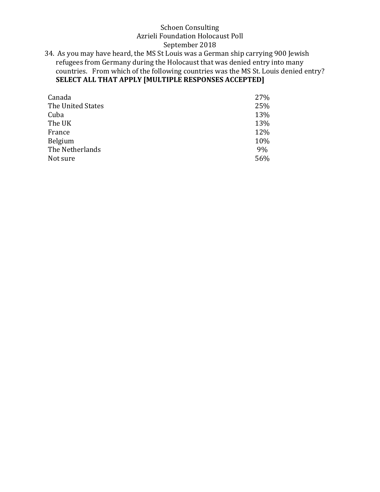34. As you may have heard, the MS St Louis was a German ship carrying 900 Jewish refugees from Germany during the Holocaust that was denied entry into many countries. From which of the following countries was the MS St. Louis denied entry? SELECT ALL THAT APPLY [MULTIPLE RESPONSES ACCEPTED]

| Canada            | 27% |
|-------------------|-----|
| The United States | 25% |
| Cuba              | 13% |
| The UK            | 13% |
| France            | 12% |
| Belgium           | 10% |
| The Netherlands   | 9%  |
| Not sure          | 56% |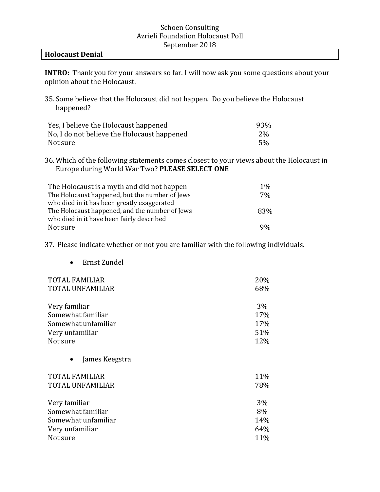#### **Holocaust Denial**

**INTRO:** Thank you for your answers so far. I will now ask you some questions about your opinion about the Holocaust.

35. Some believe that the Holocaust did not happen. Do you believe the Holocaust happened? 

| Yes, I believe the Holocaust happened       | 93%       |
|---------------------------------------------|-----------|
| No, I do not believe the Holocaust happened | <b>2%</b> |
| Not sure                                    | .5%       |

36. Which of the following statements comes closest to your views about the Holocaust in Europe during World War Two? PLEASE SELECT ONE

| The Holocaust is a myth and did not happen     | $1\%$ |
|------------------------------------------------|-------|
| The Holocaust happened, but the number of Jews | 7%    |
| who died in it has been greatly exaggerated    |       |
| The Holocaust happened, and the number of Jews | 83%   |
| who died in it have been fairly described      |       |
| Not sure                                       | 9%    |

37. Please indicate whether or not you are familiar with the following individuals.

• Ernst Zundel

| <b>TOTAL FAMILIAR</b>       | 20%   |
|-----------------------------|-------|
| <b>TOTAL UNFAMILIAR</b>     | 68%   |
| Very familiar               | $3\%$ |
| Somewhat familiar           | 17%   |
| Somewhat unfamiliar         | 17%   |
| Very unfamiliar             | 51%   |
| Not sure                    | 12%   |
| James Keegstra<br>$\bullet$ |       |
| <b>TOTAL FAMILIAR</b>       | 11%   |
| <b>TOTAL UNFAMILIAR</b>     | 78%   |
| Very familiar               | 3%    |
| Somewhat familiar           | 8%    |
| Somewhat unfamiliar         | 14%   |
| Very unfamiliar             | 64%   |
| Not sure                    | 11%   |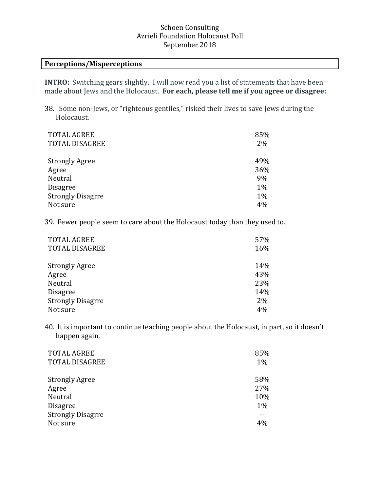#### **Perceptions/Misperceptions**

**INTRO:** Switching gears slightly, I will now read you a list of statements that have been made about Jews and the Holocaust. For each, please tell me if you agree or disagree:

38. Some non-Jews, or "righteous gentiles," risked their lives to save Jews during the Holocaust.

| <b>TOTAL AGREE</b>       | 85% |
|--------------------------|-----|
| <b>TOTAL DISAGREE</b>    | 2%  |
|                          |     |
| <b>Strongly Agree</b>    | 49% |
| Agree                    | 36% |
| Neutral                  | 9%  |
| <b>Disagree</b>          | 1%  |
| <b>Strongly Disagrre</b> | 1%  |
| Not sure                 | 4%  |

39. Fewer people seem to care about the Holocaust today than they used to.

| <b>TOTAL AGREE</b>       | 57% |
|--------------------------|-----|
| <b>TOTAL DISAGREE</b>    | 16% |
|                          |     |
| <b>Strongly Agree</b>    | 14% |
| Agree                    | 43% |
| Neutral                  | 23% |
| <b>Disagree</b>          | 14% |
| <b>Strongly Disagrre</b> | 2%  |
| Not sure                 | 4%  |

40. It is important to continue teaching people about the Holocaust, in part, so it doesn't happen again.

| <b>TOTAL AGREE</b>       | 85% |
|--------------------------|-----|
| <b>TOTAL DISAGREE</b>    | 1%  |
| <b>Strongly Agree</b>    | 58% |
| Agree                    | 27% |
| Neutral                  | 10% |
| <b>Disagree</b>          | 1%  |
| <b>Strongly Disagrre</b> |     |
| Not sure                 | 4%  |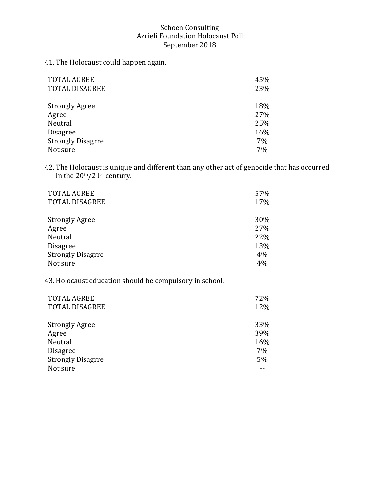41. The Holocaust could happen again.

| <b>TOTAL AGREE</b>       | 45% |
|--------------------------|-----|
| <b>TOTAL DISAGREE</b>    | 23% |
|                          |     |
| <b>Strongly Agree</b>    | 18% |
| Agree                    | 27% |
| Neutral                  | 25% |
| <b>Disagree</b>          | 16% |
| <b>Strongly Disagrre</b> | 7%  |
| Not sure                 | 7%  |

42. The Holocaust is unique and different than any other act of genocide that has occurred in the  $20<sup>th</sup>/21<sup>st</sup>$  century.

| <b>TOTAL AGREE</b>       | 57% |
|--------------------------|-----|
| <b>TOTAL DISAGREE</b>    | 17% |
| <b>Strongly Agree</b>    | 30% |
| Agree                    | 27% |
| Neutral                  | 22% |
| <b>Disagree</b>          | 13% |
| <b>Strongly Disagrre</b> | 4%  |
| Not sure                 | 4%  |

43. Holocaust education should be compulsory in school.

| <b>TOTAL DISAGREE</b><br>12%   |  |
|--------------------------------|--|
|                                |  |
| 33%<br><b>Strongly Agree</b>   |  |
| 39%<br>Agree                   |  |
| Neutral<br>16%                 |  |
| 7%<br><b>Disagree</b>          |  |
| <b>Strongly Disagrre</b><br>5% |  |
| Not sure                       |  |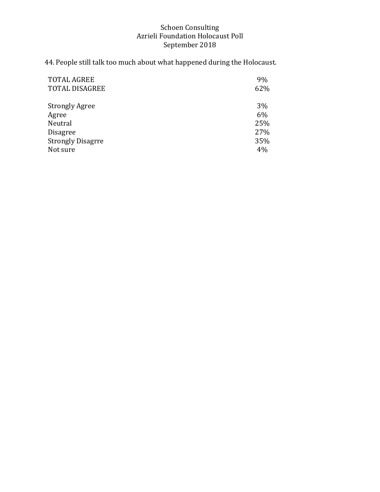44. People still talk too much about what happened during the Holocaust.

| <b>TOTAL AGREE</b>       | 9%  |
|--------------------------|-----|
| <b>TOTAL DISAGREE</b>    | 62% |
| <b>Strongly Agree</b>    | 3%  |
|                          |     |
| Agree                    | 6%  |
| Neutral                  | 25% |
| <b>Disagree</b>          | 27% |
| <b>Strongly Disagrre</b> | 35% |
| Not sure                 | 4%  |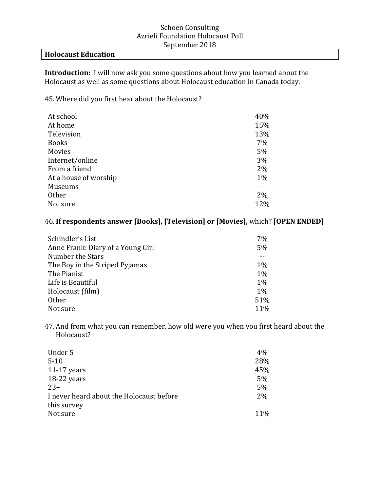#### **Holocaust Education**

**Introduction:** I will now ask you some questions about how you learned about the Holocaust as well as some questions about Holocaust education in Canada today.

45. Where did you first hear about the Holocaust?

| 40% |
|-----|
| 15% |
| 13% |
| 7%  |
| 5%  |
| 3%  |
| 2%  |
| 1%  |
|     |
| 2%  |
| 12% |
|     |

### 46. If respondents answer [Books], [Television] or [Movies], which? [OPEN ENDED]

| 7%    |
|-------|
| 5%    |
|       |
| $1\%$ |
| $1\%$ |
| $1\%$ |
| $1\%$ |
| 51%   |
| 11%   |
|       |

47. And from what you can remember, how old were you when you first heard about the Holocaust? 

| Under 5                                  | 4%  |
|------------------------------------------|-----|
| $5 - 10$                                 | 28% |
| $11-17$ years                            | 45% |
| 18-22 years                              | 5%  |
| $23+$                                    | 5%  |
| I never heard about the Holocaust before | 2%  |
| this survey                              |     |
| Not sure                                 | 11% |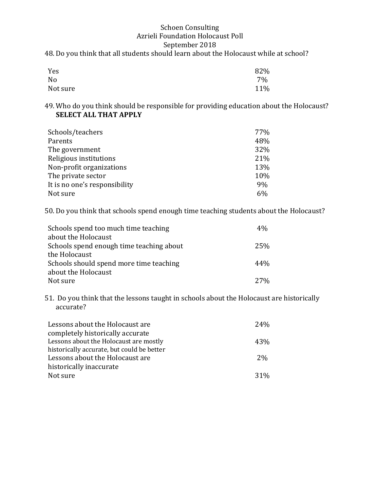#### 48. Do you think that all students should learn about the Holocaust while at school?

| Yes            | 82% |
|----------------|-----|
| N <sub>0</sub> | 7%  |
| Not sure       | 11% |

49. Who do you think should be responsible for providing education about the Holocaust? **SELECT ALL THAT APPLY** 

| Schools/teachers              | 77%   |
|-------------------------------|-------|
| Parents                       | 48%   |
| The government                | 32%   |
| Religious institutions        | 21%   |
| Non-profit organizations      | 13%   |
| The private sector            | 10%   |
| It is no one's responsibility | 9%    |
| Not sure                      | $6\%$ |

50. Do you think that schools spend enough time teaching students about the Holocaust?

| Schools spend too much time teaching     | 4%  |
|------------------------------------------|-----|
| about the Holocaust                      |     |
| Schools spend enough time teaching about | 25% |
| the Holocaust                            |     |
| Schools should spend more time teaching  | 44% |
| about the Holocaust                      |     |
| Not sure                                 | 27% |

51. Do you think that the lessons taught in schools about the Holocaust are historically accurate?

| Lessons about the Holocaust are            | 24 <sub>%</sub> |
|--------------------------------------------|-----------------|
| completely historically accurate           |                 |
| Lessons about the Holocaust are mostly     | 43%             |
| historically accurate, but could be better |                 |
| Lessons about the Holocaust are            | 2%              |
| historically inaccurate                    |                 |
| Not sure                                   | $31\%$          |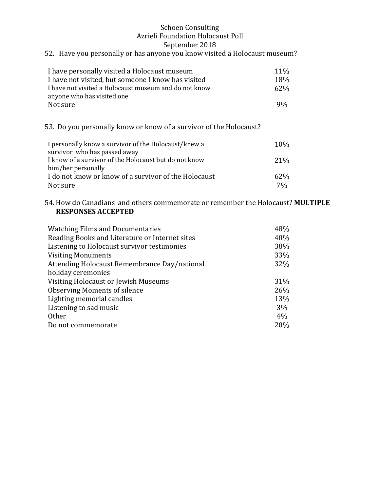### 52. Have you personally or has anyone you know visited a Holocaust museum?

| I have personally visited a Holocaust museum          | $11\%$          |
|-------------------------------------------------------|-----------------|
| I have not visited, but someone I know has visited    | 18%             |
| I have not visited a Holocaust museum and do not know | 62 <sub>%</sub> |
| anyone who has visited one                            |                 |
| Not sure                                              | $9\%$           |

53. Do you personally know or know of a survivor of the Holocaust?

| I personally know a survivor of the Holocaust/knew a  | 10%             |
|-------------------------------------------------------|-----------------|
| survivor who has passed away                          |                 |
| I know of a survivor of the Holocaust but do not know | 21 <sup>%</sup> |
| him/her personally                                    |                 |
| I do not know or know of a survivor of the Holocaust  | 62%             |
| Not sure                                              | $7\%$           |

#### 54. How do Canadians and others commemorate or remember the Holocaust? MULTIPLE **RESPONSES ACCEPTED**

| <b>Watching Films and Documentaries</b>        | 48% |
|------------------------------------------------|-----|
| Reading Books and Literature or Internet sites | 40% |
| Listening to Holocaust survivor testimonies    | 38% |
| <b>Visiting Monuments</b>                      | 33% |
| Attending Holocaust Remembrance Day/national   | 32% |
| holiday ceremonies                             |     |
| Visiting Holocaust or Jewish Museums           | 31% |
| <b>Observing Moments of silence</b>            | 26% |
| Lighting memorial candles                      | 13% |
| Listening to sad music                         | 3%  |
| <b>Other</b>                                   | 4%  |
| Do not commemorate                             | 20% |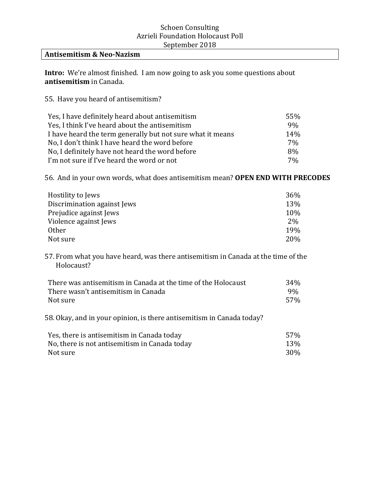#### **Antisemitism & Neo-Nazism**

**Intro:** We're almost finished. I am now going to ask you some questions about **antisemitism** in Canada.

55. Have you heard of antisemitism?

| Yes, I have definitely heard about antisemitism            | 55% |
|------------------------------------------------------------|-----|
| Yes, I think I've heard about the antisemitism             | 9%  |
| I have heard the term generally but not sure what it means | 14% |
| No, I don't think I have heard the word before             | 7%  |
| No, I definitely have not heard the word before            | 8%  |
| I'm not sure if I've heard the word or not                 | 7%  |

56. And in your own words, what does antisemitism mean? OPEN END WITH PRECODES

| Hostility to Jews           | 36% |
|-----------------------------|-----|
| Discrimination against Jews | 13% |
| Prejudice against Jews      | 10% |
| Violence against Jews       | 2%  |
| <b>Other</b>                | 19% |
| Not sure                    | 20% |

57. From what you have heard, was there antisemitism in Canada at the time of the Holocaust? 

| There was antisemitism in Canada at the time of the Holocaust | 34 <sub>%</sub> |
|---------------------------------------------------------------|-----------------|
| There wasn't antisemitism in Canada                           | 9%              |
| Not sure                                                      | .57%            |

58. Okay, and in your opinion, is there antisemitism in Canada today?

| Yes, there is antisemitism in Canada today    | 57%        |
|-----------------------------------------------|------------|
| No, there is not antisemitism in Canada today | 13%        |
| Not sure                                      | <b>30%</b> |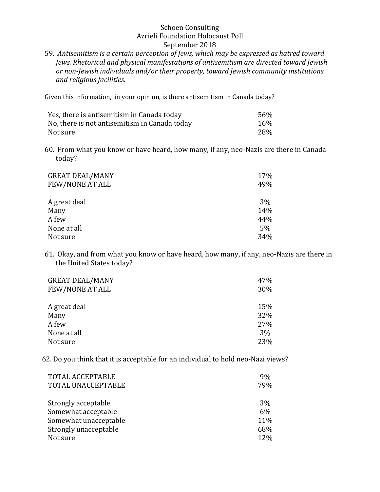59. Antisemitism is a certain perception of Jews, which may be expressed as hatred toward *Jews. Rhetorical and physical manifestations of antisemitism are directed toward Jewish* or non-Jewish individuals and/or their property, toward Jewish community institutions *and religious facilities.*

Given this information, in your opinion, is there antisemitism in Canada today?

| Yes, there is antisemitism in Canada today    | 56% |
|-----------------------------------------------|-----|
| No, there is not antisemitism in Canada today | 16% |
| Not sure                                      | 28% |

60. From what you know or have heard, how many, if any, neo-Nazis are there in Canada today?

| <b>GREAT DEAL/MANY</b><br>FEW/NONE AT ALL | 17%<br>49% |
|-------------------------------------------|------------|
| A great deal                              | $3\%$      |
| Many                                      | 14%        |
| A few                                     | 44%        |
| None at all                               | $5\%$      |
| Not sure                                  | 34%        |

61. Okay, and from what you know or have heard, how many, if any, neo-Nazis are there in the United States today?

| <b>GREAT DEAL/MANY</b> | 47% |
|------------------------|-----|
| FEW/NONE AT ALL        | 30% |
|                        |     |
| A great deal           | 15% |
| Many                   | 32% |
| A few                  | 27% |
| None at all            | 3%  |
| Not sure               | 23% |

62. Do you think that it is acceptable for an individual to hold neo-Nazi views?

| 9%  |
|-----|
| 79% |
| 3%  |
| 6%  |
| 11% |
| 68% |
| 12% |
|     |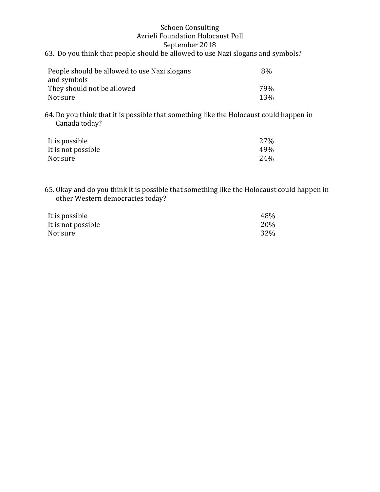#### **Schoen Consulting** Azrieli Foundation Holocaust Poll September 2018 63. Do you think that people should be allowed to use Nazi slogans and symbols?

| People should be allowed to use Nazi slogans | 8%         |
|----------------------------------------------|------------|
| and symbols                                  |            |
| They should not be allowed                   | 79%        |
| Not sure                                     | <b>13%</b> |

64. Do you think that it is possible that something like the Holocaust could happen in Canada today? 

| It is possible     | 27% |
|--------------------|-----|
| It is not possible | 49% |
| Not sure           | 24% |

65. Okay and do you think it is possible that something like the Holocaust could happen in other Western democracies today?

| It is possible     | 48% |
|--------------------|-----|
| It is not possible | 20% |
| Not sure           | 32% |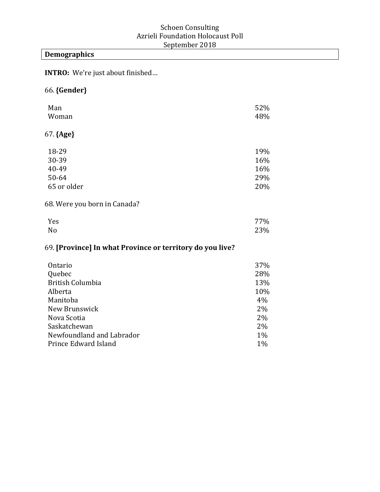### **Demographics**

**INTRO:** We're just about finished...

### 66.**{Gender}**

| Man<br>Woman                 | 52%<br>48% |
|------------------------------|------------|
| $67.$ {Age}                  |            |
| 18-29                        | 19%        |
| 30-39                        | 16%        |
| 40-49                        | 16%        |
| 50-64                        | 29%        |
| 65 or older                  | 20%        |
| 68. Were you born in Canada? |            |

### $Yes$  and  $77\%$ No  $23\%$

### 69. **[Province]** In what Province or territory do you live?

| Ontario                   | 37% |
|---------------------------|-----|
| Quebec                    | 28% |
| <b>British Columbia</b>   | 13% |
| Alberta                   | 10% |
| Manitoba                  | 4%  |
| New Brunswick             | 2%  |
| Nova Scotia               | 2%  |
| Saskatchewan              | 2%  |
| Newfoundland and Labrador | 1%  |
| Prince Edward Island      | 1%  |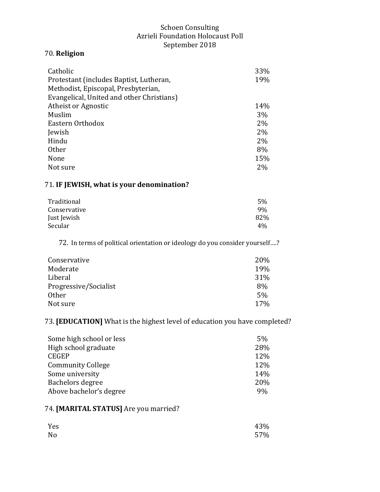### 70. **Religion**

| Catholic                                  | 33% |
|-------------------------------------------|-----|
| Protestant (includes Baptist, Lutheran,   | 19% |
| Methodist, Episcopal, Presbyterian,       |     |
| Evangelical, United and other Christians) |     |
| Atheist or Agnostic                       | 14% |
| Muslim                                    | 3%  |
| Eastern Orthodox                          | 2%  |
| Jewish                                    | 2%  |
| Hindu                                     | 2%  |
| Other                                     | 8%  |
| None                                      | 15% |
| Not sure                                  | 2%  |

### 71. **IF JEWISH, what is your denomination?**

| Traditional  | 5%  |
|--------------|-----|
| Conservative | 9%  |
| Just Jewish  | 82% |
| Secular      | 4%  |

72. In terms of political orientation or ideology do you consider yourself....?

| Conservative          | <b>20%</b>      |
|-----------------------|-----------------|
| Moderate              | 19%             |
| Liberal               | 31%             |
| Progressive/Socialist | 8%              |
| Other                 | 5%              |
| Not sure              | 17 <sub>%</sub> |

73. **[EDUCATION]** What is the highest level of education you have completed?

| Some high school or less | 5%  |
|--------------------------|-----|
| High school graduate     | 28% |
| <b>CEGEP</b>             | 12% |
| <b>Community College</b> | 12% |
| Some university          | 14% |
| Bachelors degree         | 20% |
| Above bachelor's degree  | 9%  |

## 74. [MARITAL STATUS] Are you married?

| Yes | 43% |
|-----|-----|
| No  | 57% |